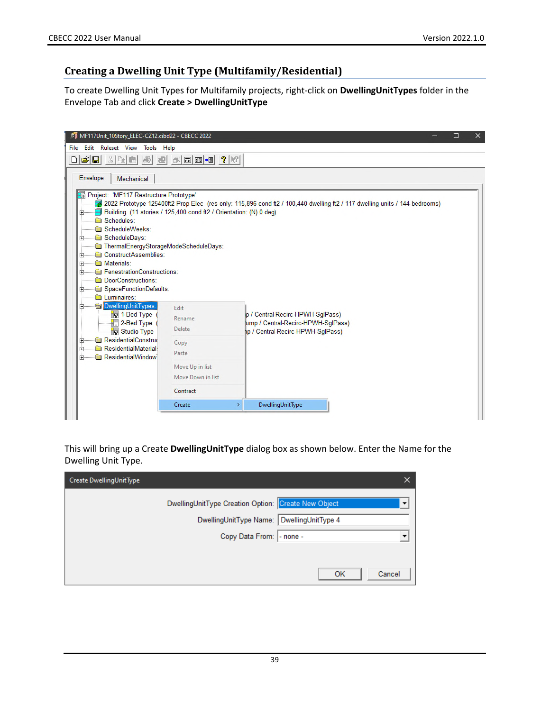## **Creating a Dwelling Unit Type (Multifamily/Residential)**

To create Dwelling Unit Types for Multifamily projects, right-click on **DwellingUnitTypes** folder in the Envelope Tab and click **Create > DwellingUnitType**

| MF117Unit_10Story_ELEC-CZ12.cibd22 - CBECC 2022<br>File Edit Ruleset View Tools Help                                                                                                                                                                    |                                                                   | $\times$<br>□                                                                                                              |
|---------------------------------------------------------------------------------------------------------------------------------------------------------------------------------------------------------------------------------------------------------|-------------------------------------------------------------------|----------------------------------------------------------------------------------------------------------------------------|
| $\mathbf{B}$ . The $\mathbf{B}$<br>圖<br>ΩI<br>리                                                                                                                                                                                                         | $\mathbb{R}$ details $\mathbb{R}$                                 |                                                                                                                            |
| Envelope<br>Mechanical<br>Project: 'MF117 Restructure Prototype'<br>田<br>Schedules:<br>ScheduleWeeks:<br>ScheduleDays:<br>田<br>ThermalEnergyStorageModeScheduleDays:<br>ConstructAssemblies:<br>国<br>Materials:<br>曱<br>FenestrationConstructions:<br>田 | Building (11 stories / 125,400 cond ft2 / Orientation: (N) 0 deg) | 2022 Prototype 125400ft2 Prop Elec (res only: 115,896 cond ft2 / 100,440 dwelling ft2 / 117 dwelling units / 144 bedrooms) |
| DoorConstructions:<br>SpaceFunctionDefaults:<br>$\left  + \right $<br>Luminaires:<br>DwellingUnitTypes:<br>⊟<br>1-Bed Type<br>$\frac{1}{2}$ 2-Bed Type<br>Studio Type                                                                                   | Edit<br>Rename<br>Delete                                          | p / Central-Recirc-HPWH-SglPass)<br>ump / Central-Recirc-HPWH-SqlPass)<br>1p / Central-Recirc-HPWH-SglPass)                |
| ResidentialConstruc<br>$\overline{+}$<br>ResidentialMaterial:<br>曱<br><b>ResidentialWindow</b><br>中                                                                                                                                                     | Copy<br>Paste<br>Move Up in list                                  |                                                                                                                            |
|                                                                                                                                                                                                                                                         | Move Down in list                                                 |                                                                                                                            |
|                                                                                                                                                                                                                                                         | Contract                                                          |                                                                                                                            |
|                                                                                                                                                                                                                                                         | Create                                                            | DwellingUnitType<br>$\rightarrow$                                                                                          |
|                                                                                                                                                                                                                                                         |                                                                   |                                                                                                                            |

This will bring up a Create **DwellingUnitType** dialog box as shown below. Enter the Name for the Dwelling Unit Type.

| Create DwellingUnitType                                                                          |              |
|--------------------------------------------------------------------------------------------------|--------------|
| DwellingUnitType Creation Option: Create New Object<br>DwellingUnitType Name: DwellingUnitType 4 | ▼            |
| Copy Data From:  - none -                                                                        |              |
|                                                                                                  |              |
|                                                                                                  | Cancel<br>OK |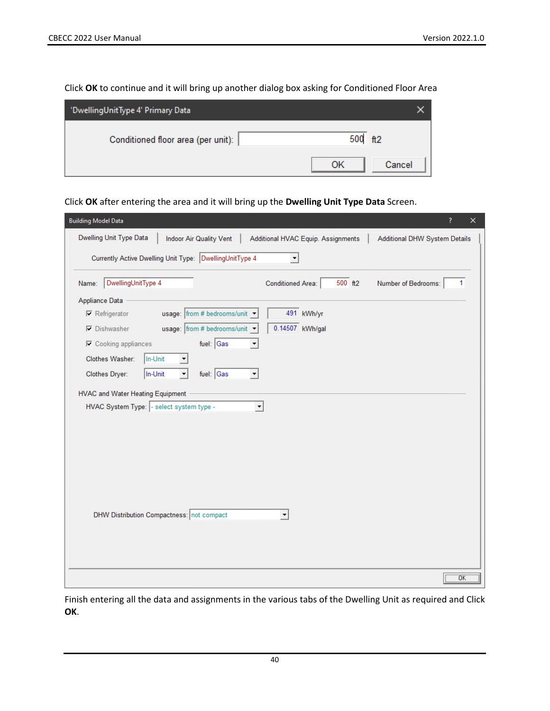Click **OK** to continue and it will bring up another dialog box asking for Conditioned Floor Area

| 'DwellingUnitType 4' Primary Data  |              |
|------------------------------------|--------------|
| Conditioned floor area (per unit): | 500 ft2      |
|                                    | ОK<br>Cancel |

Click **OK** after entering the area and it will bring up the **Dwelling Unit Type Data** Screen.

| <b>Building Model Data</b>                              |                                |                                     | ?<br>$\times$                 |
|---------------------------------------------------------|--------------------------------|-------------------------------------|-------------------------------|
| Dwelling Unit Type Data                                 | <b>Indoor Air Quality Vent</b> | Additional HVAC Equip. Assignments  | Additional DHW System Details |
| Currently Active Dwelling Unit Type: DwellingUnitType 4 |                                | ▼                                   |                               |
| DwellingUnitType 4<br>Name:                             |                                | 500 ft2<br><b>Conditioned Area:</b> | Number of Bedrooms:<br>1      |
| Appliance Data                                          |                                |                                     |                               |
| $\nabla$ Refrigerator                                   | usage: from # bedrooms/unit    | 491 kWh/yr                          |                               |
| $\nabla$ Dishwasher                                     | usage: from # bedrooms/unit    | 0.14507 kWh/gal                     |                               |
| $\nabla$ Cooking appliances                             | fuel: $\Big $ Gas              |                                     |                               |
| Clothes Washer:<br>In-Unit                              |                                |                                     |                               |
| Clothes Dryer:<br>In-Unit                               | fuel: Gas                      |                                     |                               |
| <b>HVAC and Water Heating Equipment</b>                 |                                |                                     |                               |
| HVAC System Type: - select system type -                |                                | $\blacktriangledown$                |                               |
|                                                         |                                |                                     |                               |
|                                                         |                                |                                     |                               |
|                                                         |                                |                                     |                               |
|                                                         |                                |                                     |                               |
|                                                         |                                |                                     |                               |
|                                                         |                                |                                     |                               |
|                                                         |                                |                                     |                               |
| DHW Distribution Compactness: not compact               |                                | ▼                                   |                               |
|                                                         |                                |                                     |                               |
|                                                         |                                |                                     |                               |
|                                                         |                                |                                     |                               |
|                                                         |                                |                                     |                               |
|                                                         |                                |                                     | ΰK                            |

Finish entering all the data and assignments in the various tabs of the Dwelling Unit as required and Click **OK**.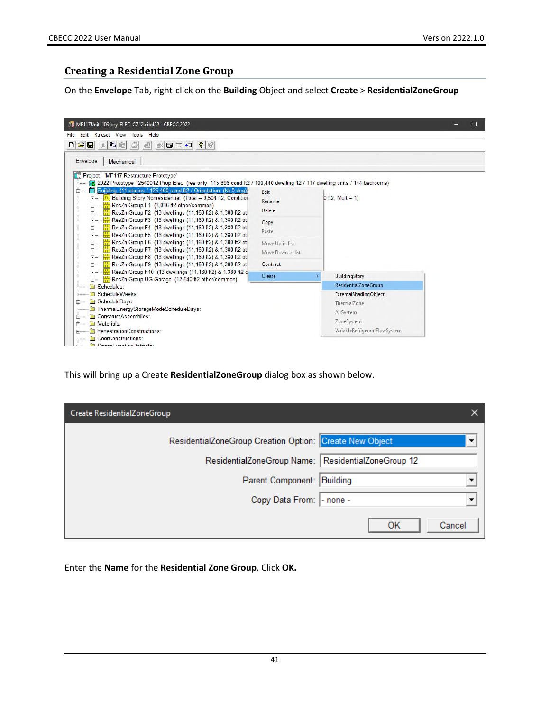## **Creating a Residential Zone Group**

On the **Envelope** Tab, right-click on the **Building** Object and select **Create** > **ResidentialZoneGroup**

| Envelope<br>Mechanical<br><b>En Project: 'MF117 Restructure Prototype'</b>                                                                                                                                                                                                                                                                                                                                 |                                      |                                                                  |
|------------------------------------------------------------------------------------------------------------------------------------------------------------------------------------------------------------------------------------------------------------------------------------------------------------------------------------------------------------------------------------------------------------|--------------------------------------|------------------------------------------------------------------|
| 2022 Prototype 125400ft2 Prop Elec (res only: 115,896 cond ft2 / 100,440 dwelling ft2 / 117 dwelling units / 144 bedrooms)<br>Building (11 stories / 125,400 cond ft2 / Orientation: (N) 0 deg)<br>Ĥ.<br>$\vert x \vert$ Building Story Nonresidential (Total = 9.504 ft2, Condition<br>中<br>ResZn Group F1 (3.036 ft2 other/common)<br>田<br>ResZn Group F2 (13 dwellings (11,160 ft2) & 1,380 ft2 of<br>田 | Edit<br>Rename<br>Delete             | 0 ft2, Mult = $1$ )                                              |
| ResZn Group F3 (13 dwellings (11,160 ft2) & 1,380 ft2 ot<br>由<br>ResZn Group F4 (13 dwellings (11,160 ft2) & 1,380 ft2 ot<br>田<br>ResZn Group F5 (13 dwellings (11,160 ft2) & 1,380 ft2 ot<br>田                                                                                                                                                                                                            | Copy<br>Paste                        |                                                                  |
| ResZn Group F6 (13 dwellings (11,160 ft2) & 1,380 ft2 of<br>田<br>ResZn Group F7 (13 dwellings (11,160 ft2) & 1,380 ft2 ot<br>田<br>ResZn Group F8 (13 dwellings (11,160 ft2) & 1,380 ft2 of<br>中                                                                                                                                                                                                            | Move Up in list<br>Move Down in list |                                                                  |
| ResZn Group F9 (13 dwellings (11,160 ft2) & 1,380 ft2 of<br>田                                                                                                                                                                                                                                                                                                                                              | Contract                             |                                                                  |
| ResZn Group F10 (13 dwellings (11,160 ft2) & 1,380 ft2 c<br>中<br>ResZn Group UG Garage (12.540 ft2 other/common)                                                                                                                                                                                                                                                                                           | Create                               | BuildingStory                                                    |
| Schedules:                                                                                                                                                                                                                                                                                                                                                                                                 |                                      | <b>ResidentialZoneGroup</b>                                      |
| ScheduleWeeks:<br>ScheduleDays:<br>田<br>ThermalEnergyStorageModeScheduleDays:<br>ConstructAssemblies:<br>田                                                                                                                                                                                                                                                                                                 |                                      | ExternalShadingObject<br>Thermal Zone<br>AirSystem<br>ZoneSystem |

This will bring up a Create **ResidentialZoneGroup** dialog box as shown below.

| Create ResidentialZoneGroup                             |                         |
|---------------------------------------------------------|-------------------------|
| ResidentialZoneGroup Creation Option: Create New Object | ▼                       |
| ResidentialZoneGroup Name:                              | ResidentialZoneGroup 12 |
| Parent Component:                                       | Building                |
| Copy Data From:  - none -                               |                         |
|                                                         | Cancel<br>ОK            |

Enter the **Name** for the **Residential Zone Group**. Click **OK.**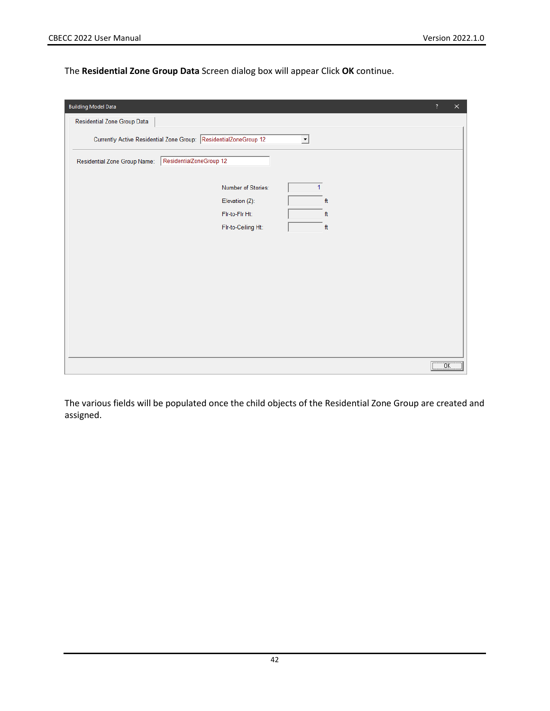The **Residential Zone Group Data** Screen dialog box will appear Click **OK** continue.

| <b>Building Model Data</b><br>$\overline{\mathcal{L}}$                                                         | $\times$ |
|----------------------------------------------------------------------------------------------------------------|----------|
| Residential Zone Group Data                                                                                    |          |
| Currently Active Residential Zone Group: ResidentialZoneGroup 12<br>$\overline{\phantom{a}}$                   |          |
| ResidentialZoneGroup 12<br>Residential Zone Group Name:                                                        |          |
| $\mathbf{1}$<br>Number of Stories:<br>ft<br>Elevation (Z):<br>Fir-to-Fir Ht:<br>ft<br>Flr-to-Ceiling Ht:<br>ft |          |
| ÖΚ.                                                                                                            |          |

The various fields will be populated once the child objects of the Residential Zone Group are created and assigned.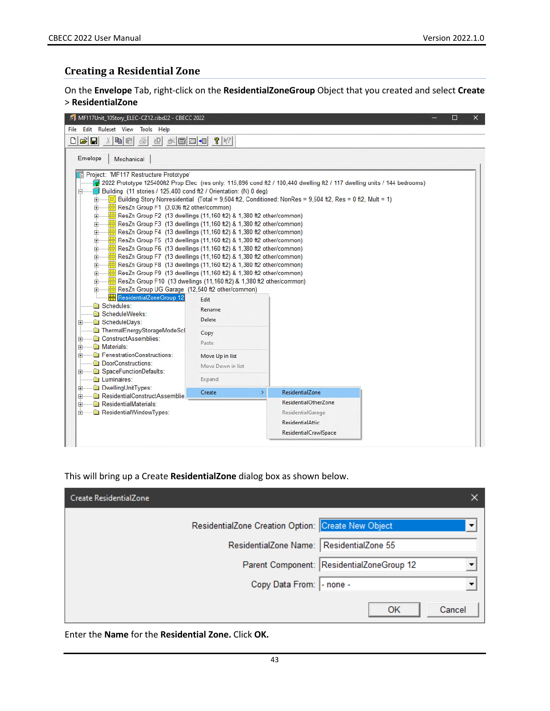#### **Creating a Residential Zone**

On the **Envelope** Tab, right-click on the **ResidentialZoneGroup** Object that you created and select **Create** > **ResidentialZone**



This will bring up a Create **ResidentialZone** dialog box as shown below.

| Create ResidentialZone                                                                  | ×      |
|-----------------------------------------------------------------------------------------|--------|
| ResidentialZone Creation Option: Create New Object                                      | ▼      |
| ResidentialZone Name:   ResidentialZone 55<br>Parent Component: ResidentialZoneGroup 12 |        |
| Copy Data From: - none -                                                                |        |
| OK                                                                                      | Cancel |

Enter the **Name** for the **Residential Zone.** Click **OK.**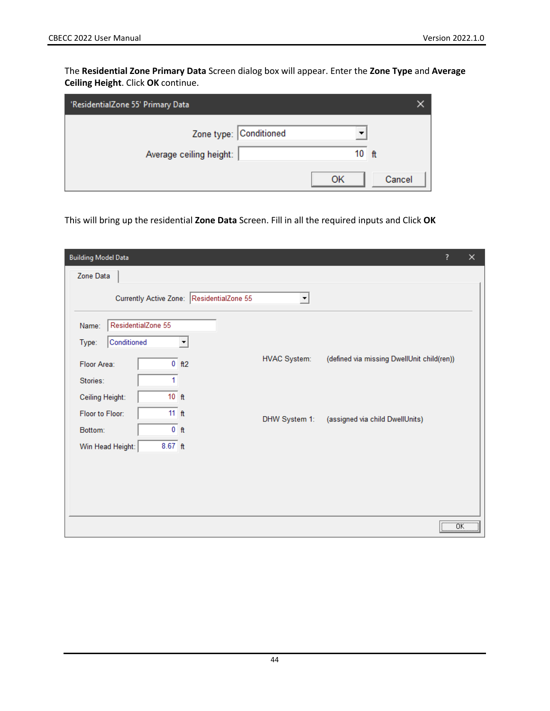The **Residential Zone Primary Data** Screen dialog box will appear. Enter the **Zone Type** and **Average Ceiling Height**. Click **OK** continue.

| 'ResidentialZone 55' Primary Data                 |              |  |
|---------------------------------------------------|--------------|--|
| Zone type: Conditioned<br>Average ceiling height: | $10$ ft      |  |
|                                                   | OK<br>Cancel |  |

This will bring up the residential **Zone Data** Screen. Fill in all the required inputs and Click **OK**

| <b>Building Model Data</b>                |                      | ?                                          | ×                      |
|-------------------------------------------|----------------------|--------------------------------------------|------------------------|
| Zone Data                                 |                      |                                            |                        |
| Currently Active Zone: ResidentialZone 55 | $\blacktriangledown$ |                                            |                        |
| ResidentialZone 55<br>Name:               |                      |                                            |                        |
| Conditioned<br>Type:<br>▼                 |                      |                                            |                        |
| $0$ ft2<br>Floor Area:                    | <b>HVAC System:</b>  | (defined via missing DwellUnit child(ren)) |                        |
| 1<br>Stories:                             |                      |                                            |                        |
| $10$ ft<br>Ceiling Height:                |                      |                                            |                        |
| 11 <sub>ft</sub><br>Floor to Floor:       | DHW System 1:        | (assigned via child DwellUnits)            |                        |
| $0$ ft<br>Bottom:                         |                      |                                            |                        |
| $8.67$ ft<br>Win Head Height:             |                      |                                            |                        |
|                                           |                      |                                            |                        |
|                                           |                      |                                            |                        |
|                                           |                      |                                            |                        |
|                                           |                      |                                            | $\overline{\text{OK}}$ |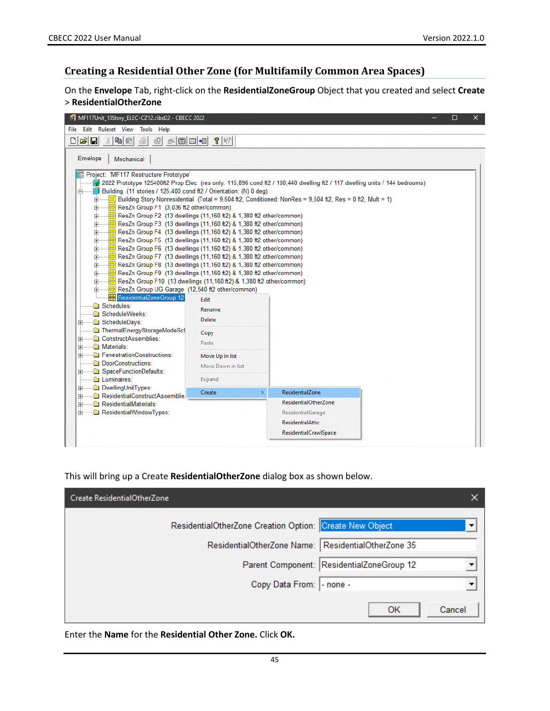### **Creating a Residential Other Zone (for Multifamily Common Area Spaces)**

On the **Envelope** Tab, right-click on the **ResidentialZoneGroup** Object that you created and select **Create** > **ResidentialOtherZone**



This will bring up a Create **ResidentialOtherZone** dialog box as shown below.

| Create ResidentialOtherZone                             |              |
|---------------------------------------------------------|--------------|
| ResidentialOtherZone Creation Option: Create New Object | ▼            |
| ResidentialOtherZone Name: ResidentialOtherZone 35      |              |
| Parent Component: ResidentialZoneGroup 12               |              |
| Copy Data From:  - none -                               | ▼            |
|                                                         | Cancel<br>OK |

Enter the **Name** for the **Residential Other Zone.** Click **OK.**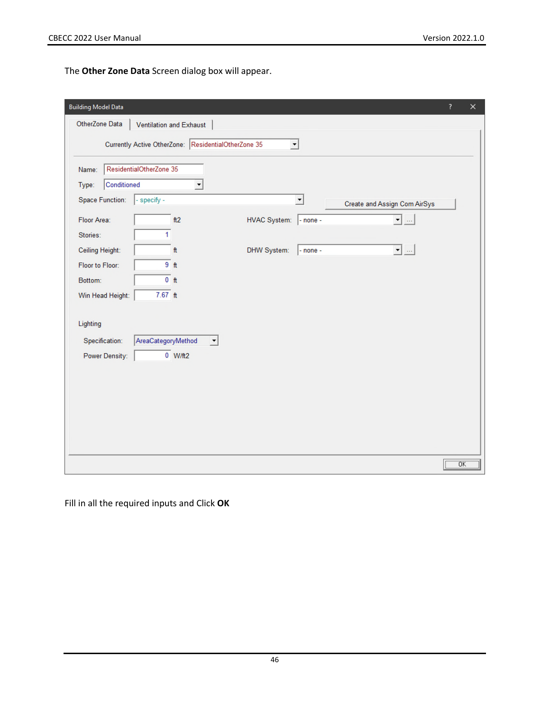The **Other Zone Data** Screen dialog box will appear.

| <b>Building Model Data</b>       |                                                                     | ? | ×               |
|----------------------------------|---------------------------------------------------------------------|---|-----------------|
| OtherZone Data                   | Ventilation and Exhaust                                             |   |                 |
|                                  | Currently Active OtherZone: ResidentialOtherZone 35<br>▾            |   |                 |
| Name:                            | ResidentialOtherZone 35                                             |   |                 |
| Conditioned<br>Type:             | ۰                                                                   |   |                 |
| Space Function:                  | - specify -<br>$\blacktriangledown$<br>Create and Assign Com AirSys |   |                 |
| Floor Area:                      | $\blacktriangledown$<br><b>HVAC System:</b><br>ft2<br>$-$ none -    |   |                 |
| Stories:                         | 1                                                                   |   |                 |
| Ceiling Height:                  | $\blacktriangledown$ $\ldots$<br>DHW System:<br>ft<br>$-$ none $-$  |   |                 |
| Floor to Floor:                  | 9 <sub>ft</sub>                                                     |   |                 |
| Bottom:                          | $0$ ft                                                              |   |                 |
| Win Head Height:                 | $7.67 \text{ ft}$                                                   |   |                 |
| Lighting                         |                                                                     |   |                 |
|                                  |                                                                     |   |                 |
| Specification:<br>Power Density: | AreaCategoryMethod<br>$\vert \cdot \vert$<br>$0$ W/ft2              |   |                 |
|                                  |                                                                     |   |                 |
|                                  |                                                                     |   |                 |
|                                  |                                                                     |   |                 |
|                                  |                                                                     |   |                 |
|                                  |                                                                     |   |                 |
|                                  |                                                                     |   |                 |
|                                  |                                                                     |   | $\overline{OK}$ |

Fill in all the required inputs and Click **OK**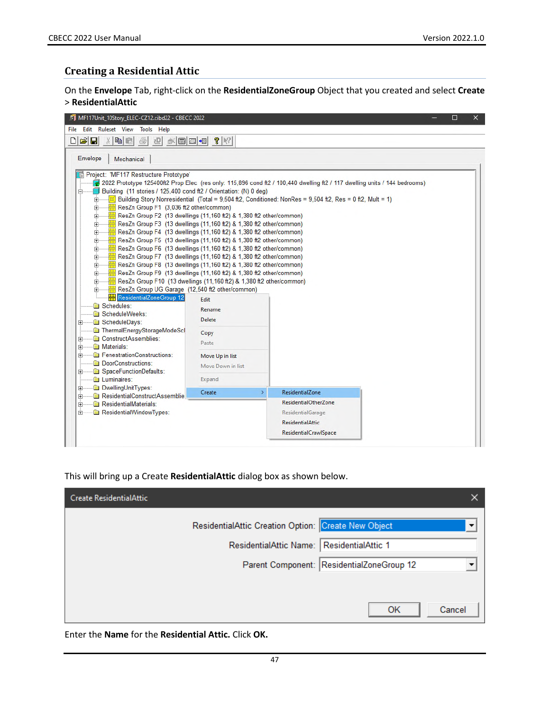### **Creating a Residential Attic**

On the **Envelope** Tab, right-click on the **ResidentialZoneGroup** Object that you created and select **Create** > **ResidentialAttic**



This will bring up a Create **ResidentialAttic** dialog box as shown below.

| Create ResidentialAttic                                                                          |                                                                       |
|--------------------------------------------------------------------------------------------------|-----------------------------------------------------------------------|
| ResidentialAttic Creation Option: Create New Object<br>ResidentialAttic Name: ResidentialAttic 1 | $\overline{\phantom{a}}$<br>Parent Component: ResidentialZoneGroup 12 |
|                                                                                                  | Cancel<br>OK                                                          |

Enter the **Name** for the **Residential Attic.** Click **OK.**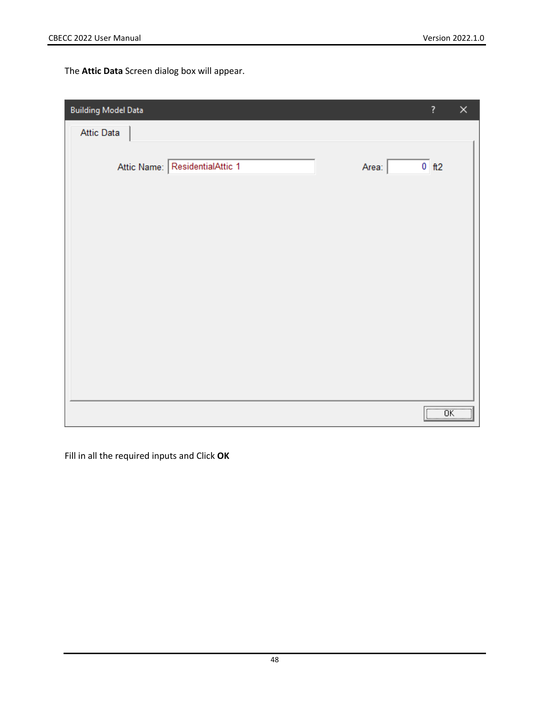The **Attic Data** Screen dialog box will appear.

| <b>Building Model Data</b>                      | ?                                                                 | × |
|-------------------------------------------------|-------------------------------------------------------------------|---|
| Attic Data                                      |                                                                   |   |
| Attic Name: ResidentialAttic 1<br>Area: $\vert$ | $0$ ft2                                                           |   |
|                                                 |                                                                   |   |
|                                                 |                                                                   |   |
|                                                 |                                                                   |   |
|                                                 |                                                                   |   |
|                                                 |                                                                   |   |
|                                                 | $\boxed{\begin{array}{c} \begin{array}{c} \text{OK} \end{array}}$ |   |

Fill in all the required inputs and Click **OK**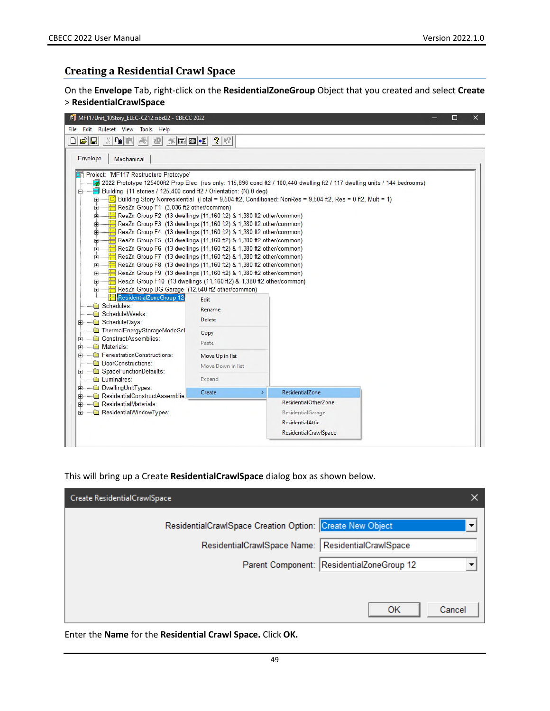### **Creating a Residential Crawl Space**

On the **Envelope** Tab, right-click on the **ResidentialZoneGroup** Object that you created and select **Create** > **ResidentialCrawlSpace**



This will bring up a Create **ResidentialCrawlSpace** dialog box as shown below.

| Create ResidentialCrawlSpace                                                            |                                           |  |
|-----------------------------------------------------------------------------------------|-------------------------------------------|--|
| ResidentialCrawlSpace Creation Option: Create New Object<br>ResidentialCrawlSpace Name: | ▼<br>ResidentialCrawlSpace                |  |
|                                                                                         | Parent Component: ResidentialZoneGroup 12 |  |
|                                                                                         | Cancel<br>OK                              |  |

Enter the **Name** for the **Residential Crawl Space.** Click **OK.**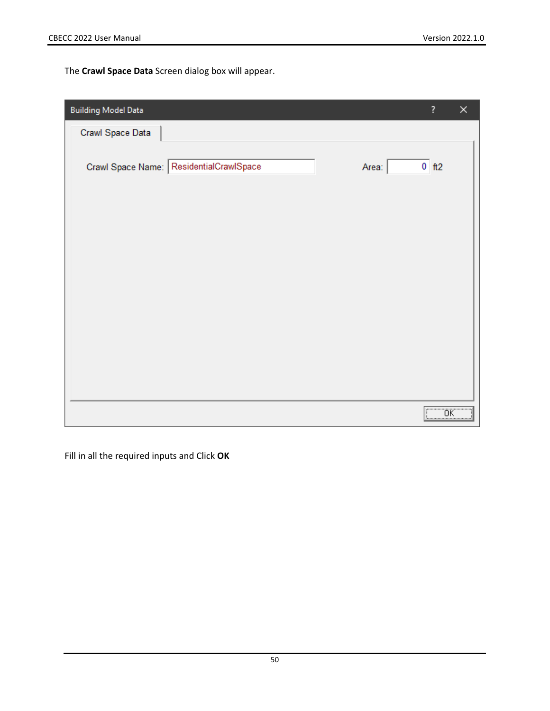The **Crawl Space Data** Screen dialog box will appear.

| <b>Building Model Data</b> |                                         |               | ?                                                         | × |
|----------------------------|-----------------------------------------|---------------|-----------------------------------------------------------|---|
| Crawl Space Data           |                                         |               |                                                           |   |
|                            | Crawl Space Name: ResidentialCrawlSpace | Area: $\vert$ | $0$ $ft2$                                                 |   |
|                            |                                         |               |                                                           |   |
|                            |                                         |               |                                                           |   |
|                            |                                         |               |                                                           |   |
|                            |                                         |               |                                                           |   |
|                            |                                         |               |                                                           |   |
|                            |                                         |               |                                                           |   |
|                            |                                         |               |                                                           |   |
|                            |                                         |               |                                                           |   |
|                            |                                         |               | $\overline{\begin{bmatrix} 0 & 0 \\ 0 & 1 \end{bmatrix}}$ |   |

Fill in all the required inputs and Click **OK**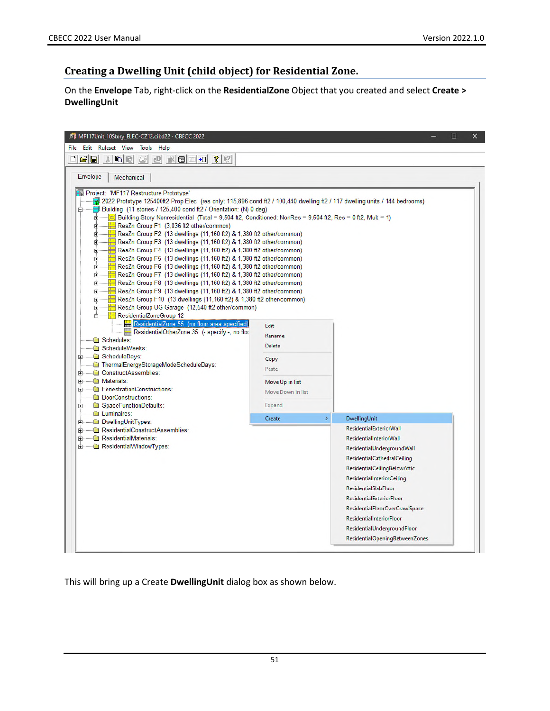# **Creating a Dwelling Unit (child object) for Residential Zone.**

On the **Envelope** Tab, right-click on the **ResidentialZone** Object that you created and select **Create > DwellingUnit**

| MF117Unit_10Story_ELEC-CZ12.cibd22 - CBECC 2022<br>Ruleset View<br>Edit<br>Tools<br>Help<br>File                                                                                    |                         | □                                  |
|-------------------------------------------------------------------------------------------------------------------------------------------------------------------------------------|-------------------------|------------------------------------|
| $D \hat{\mathbf{z}}$ e                                                                                                                                                              |                         |                                    |
| <b>ADD-8 ?</b><br>Y.<br>电阻<br>마<br>画                                                                                                                                                |                         |                                    |
| <b>Envelope</b><br>Mechanical                                                                                                                                                       |                         |                                    |
|                                                                                                                                                                                     |                         |                                    |
| Project: 'MF117 Restructure Prototype'<br>2022 Prototype 125400ft2 Prop Elec (res only: 115,896 cond ft2 / 100,440 dwelling ft2 / 117 dwelling units / 144 bedrooms)                |                         |                                    |
| Building (11 stories / 125,400 cond ft2 / Orientation: (N) 0 deg)<br>白                                                                                                              |                         |                                    |
| $\sqrt{2}$ Building Story Nonresidential (Total = 9,504 ft2, Conditioned: NonRes = 9,504 ft2, Res = 0 ft2, Mult = 1)<br><b>F</b>                                                    |                         |                                    |
| $\frac{1}{2}$ ResZn Group F1 (3,036 ft2 other/common)<br><b>主</b> …                                                                                                                 |                         |                                    |
| ResZn Group F2 (13 dwellings (11,160 ft2) & 1,380 ft2 other/common)<br>田<br>$\frac{1}{11}$ ResZn Group F3 (13 dwellings (11,160 ft2) & 1,380 ft2 other/common)                      |                         |                                    |
| Ė<br>$\frac{1}{11}$ ResZn Group F4 (13 dwellings (11,160 ft2) & 1,380 ft2 other/common)<br>中                                                                                        |                         |                                    |
| $\frac{1}{11}$ ResZn Group F5 (13 dwellings (11,160 ft2) & 1,380 ft2 other/common)<br>Ė                                                                                             |                         |                                    |
| ResZn Group F6 (13 dwellings (11,160 ft2) & 1,380 ft2 other/common)<br>由                                                                                                            |                         |                                    |
| $\frac{1}{11}$ ResZn Group F7 (13 dwellings (11,160 ft2) & 1,380 ft2 other/common)<br>由                                                                                             |                         |                                    |
| $\frac{1}{11}$ ResZn Group F8 (13 dwellings (11,160 ft2) & 1,380 ft2 other/common)<br>Ė<br>$\frac{1}{11}$ ResZn Group F9 (13 dwellings (11,160 ft2) & 1,380 ft2 other/common)<br>Ė. |                         |                                    |
| ResZn Group F10 (13 dwellings (11, 160 ft2) & 1,380 ft2 other/common)<br>Ė.                                                                                                         |                         |                                    |
| ResZn Group UG Garage (12,540 ft2 other/common)<br>Ė                                                                                                                                |                         |                                    |
| ResidentialZoneGroup 12                                                                                                                                                             |                         |                                    |
| ResidentialZone 55 (no floor area specified)<br>ResidentialOtherZone 35 (- specify -, no floc                                                                                       | Edit                    |                                    |
| Schedules:                                                                                                                                                                          | Rename                  |                                    |
| ScheduleWeeks:                                                                                                                                                                      | Delete                  |                                    |
| ScheduleDays:<br>Ŧ                                                                                                                                                                  | Copy                    |                                    |
| ThermalEnergyStorageModeScheduleDays:<br>ConstructAssemblies:                                                                                                                       | Paste                   |                                    |
| Ė<br>Materials:<br>Ė                                                                                                                                                                | Move Up in list         |                                    |
| FenestrationConstructions:<br>Ėŀ                                                                                                                                                    | Move Down in list       |                                    |
| DoorConstructions:                                                                                                                                                                  |                         |                                    |
| SpaceFunctionDefaults:<br>Ėŀ                                                                                                                                                        | Expand                  |                                    |
| Luminaires:<br>DwellingUnitTypes:<br>田                                                                                                                                              | Create<br>$\rightarrow$ | DwellingUnit                       |
| ResidentialConstructAssemblies:<br>Ė                                                                                                                                                |                         | <b>ResidentialExteriorWall</b>     |
| ResidentialMaterials:<br>Ėŀ                                                                                                                                                         |                         | <b>ResidentialInteriorWall</b>     |
| ResidentialWindowTypes:<br>Ėŀ                                                                                                                                                       |                         | ResidentialUndergroundWall         |
|                                                                                                                                                                                     |                         | <b>ResidentialCathedralCeiling</b> |
|                                                                                                                                                                                     |                         | ResidentialCeilingBelowAttic       |
|                                                                                                                                                                                     |                         | <b>ResidentialInteriorCeiling</b>  |
|                                                                                                                                                                                     |                         | <b>ResidentialSlabFloor</b>        |
|                                                                                                                                                                                     |                         | ResidentialExteriorFloor           |
|                                                                                                                                                                                     |                         |                                    |
|                                                                                                                                                                                     |                         | ResidentialFloorOverCrawlSpace     |
|                                                                                                                                                                                     |                         | ResidentialInteriorFloor           |
|                                                                                                                                                                                     |                         | ResidentialUndergroundFloor        |

This will bring up a Create **DwellingUnit** dialog box as shown below.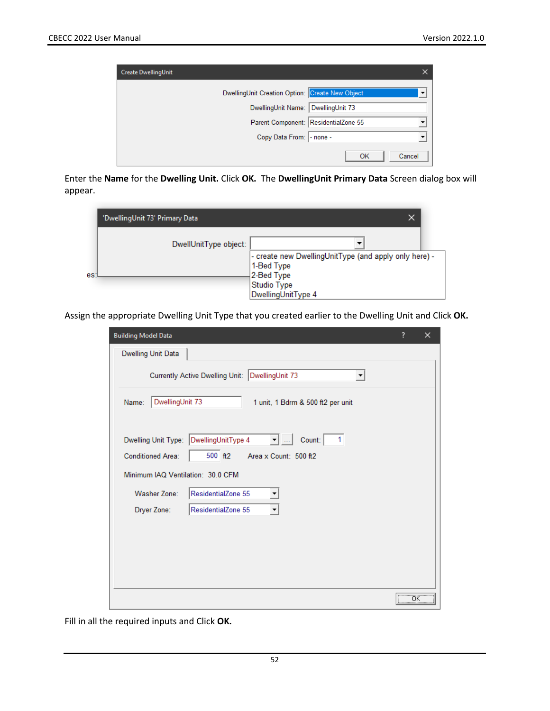| Create DwellingUnit |                                                 |        |
|---------------------|-------------------------------------------------|--------|
|                     | DwellingUnit Creation Option: Create New Object | ▼      |
|                     | DwellingUnit Name: DwellingUnit 73              |        |
|                     | Parent Component: ResidentialZone 55            |        |
|                     | Copy Data From:  - none -                       | ▼      |
|                     | OK                                              | Cancel |

Enter the **Name** for the **Dwelling Unit.** Click **OK.** The **DwellingUnit Primary Data** Screen dialog box will appear.

|     | 'DwellingUnit 73' Primary Data | x                                                                                                |
|-----|--------------------------------|--------------------------------------------------------------------------------------------------|
| es: | DwellUnitType object:          | - create new DwellingUnitType (and apply only here) -<br>1-Bed Type<br>2-Bed Type<br>Studio Type |
|     |                                | DwellingUnitType 4                                                                               |

Assign the appropriate Dwelling Unit Type that you created earlier to the Dwelling Unit and Click **OK.**

| <b>Building Model Data</b>                                                                                                                                                             | ?                                              | × |
|----------------------------------------------------------------------------------------------------------------------------------------------------------------------------------------|------------------------------------------------|---|
| Dwelling Unit Data                                                                                                                                                                     |                                                |   |
| Currently Active Dwelling Unit: DwellingUnit 73<br>▼                                                                                                                                   |                                                |   |
| DwellingUnit 73<br>Name:<br>1 unit, 1 Bdrm & 500 ft2 per unit                                                                                                                          |                                                |   |
| Dwelling Unit Type: DwellingUnitType 4<br>Count: 1<br>$\blacktriangledown$ $\Box$<br>500 ft2<br><b>Conditioned Area:</b><br>Area x Count: 500 ft2<br>Minimum IAQ Ventilation: 30.0 CFM |                                                |   |
| ResidentialZone 55<br><b>Washer Zone:</b>                                                                                                                                              |                                                |   |
| ResidentialZone 55<br>Dryer Zone:<br>▼                                                                                                                                                 |                                                |   |
|                                                                                                                                                                                        |                                                |   |
|                                                                                                                                                                                        |                                                |   |
|                                                                                                                                                                                        |                                                |   |
|                                                                                                                                                                                        | $\overline{\overline{\text{OK}}}$<br><u> \</u> |   |

Fill in all the required inputs and Click **OK.**